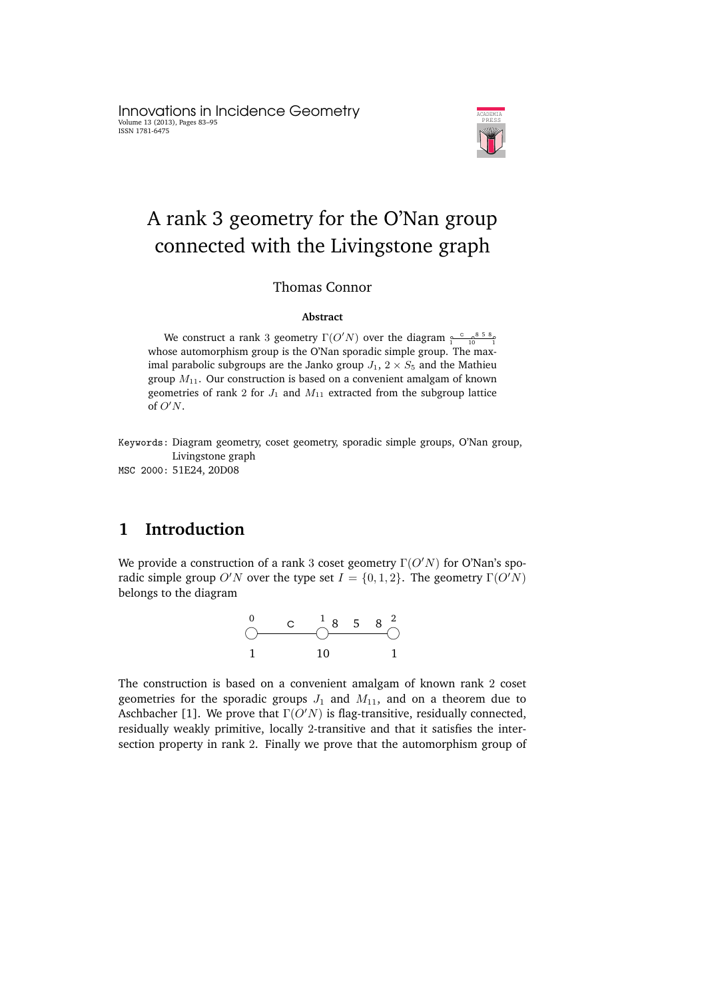Innovations in Incidence Geometry Volume 13 (2013), Pages 83–95 ISSN 1781-6475



# A rank 3 geometry for the O'Nan group connected with the Livingstone graph

#### Thomas Connor

#### **Abstract**

We construct a rank 3 geometry  $\Gamma(O'N)$  over the diagram  $\frac{1}{10} \frac{1}{10} \frac{858}{10}$ whose automorphism group is the O'Nan sporadic simple group. The maximal parabolic subgroups are the Janko group  $J_1$ ,  $2 \times S_5$  and the Mathieu group  $M_{11}$ . Our construction is based on a convenient amalgam of known geometries of rank 2 for  $J_1$  and  $M_{11}$  extracted from the subgroup lattice of  $O'N$ .

Keywords: Diagram geometry, coset geometry, sporadic simple groups, O'Nan group, Livingstone graph

MSC 2000: 51E24, 20D08

# **1 Introduction**

We provide a construction of a rank 3 coset geometry  $\Gamma(O'N)$  for O'Nan's sporadic simple group O'N over the type set  $I = \{0, 1, 2\}$ . The geometry  $\Gamma(O'N)$ belongs to the diagram



The construction is based on a convenient amalgam of known rank 2 coset geometries for the sporadic groups  $J_1$  and  $M_{11}$ , and on a theorem due to Aschbacher [1]. We prove that  $\Gamma(O'N)$  is flag-transitive, residually connected, residually weakly primitive, locally 2-transitive and that it satisfies the intersection property in rank 2. Finally we prove that the automorphism group of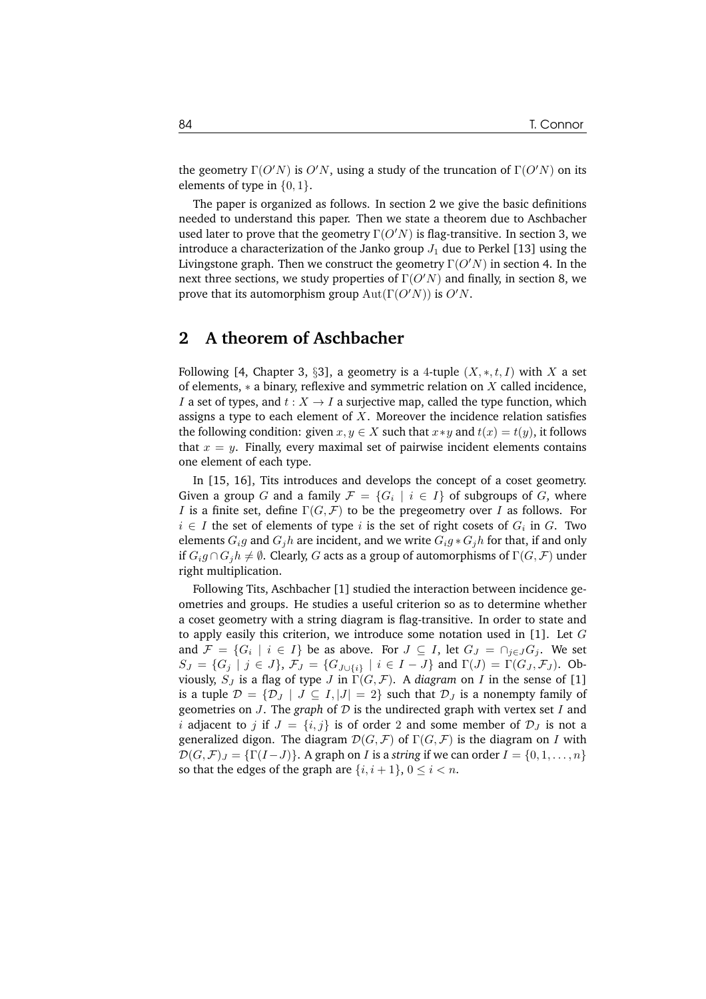the geometry  $\Gamma(O'N)$  is  $O'N$ , using a study of the truncation of  $\Gamma(O'N)$  on its elements of type in  $\{0, 1\}$ .

The paper is organized as follows. In section 2 we give the basic definitions needed to understand this paper. Then we state a theorem due to Aschbacher used later to prove that the geometry  $\Gamma(O'N)$  is flag-transitive. In section 3, we introduce a characterization of the Janko group  $J_1$  due to Perkel [13] using the Livingstone graph. Then we construct the geometry  $\Gamma(O'N)$  in section 4. In the next three sections, we study properties of  $\Gamma(O'N)$  and finally, in section 8, we prove that its automorphism group  $Aut(\Gamma(O'N))$  is  $O'N$ .

### **2 A theorem of Aschbacher**

Following [4, Chapter 3, §3], a geometry is a 4-tuple  $(X, \ast, t, I)$  with X a set of elements,  $*$  a binary, reflexive and symmetric relation on  $X$  called incidence, I a set of types, and  $t : X \to I$  a surjective map, called the type function, which assigns a type to each element of  $X$ . Moreover the incidence relation satisfies the following condition: given  $x, y \in X$  such that  $x * y$  and  $t(x) = t(y)$ , it follows that  $x = y$ . Finally, every maximal set of pairwise incident elements contains one element of each type.

In [15, 16], Tits introduces and develops the concept of a coset geometry. Given a group G and a family  $\mathcal{F} = \{G_i \mid i \in I\}$  of subgroups of G, where *I* is a finite set, define  $\Gamma(G, \mathcal{F})$  to be the pregeometry over *I* as follows. For  $i \in I$  the set of elements of type  $i$  is the set of right cosets of  $G_i$  in  $G$ . Two elements  $G_i q$  and  $G_j h$  are incident, and we write  $G_i q * G_j h$  for that, if and only if  $G_i g \cap G_j h \neq \emptyset$ . Clearly, G acts as a group of automorphisms of  $\Gamma(G, \mathcal{F})$  under right multiplication.

Following Tits, Aschbacher [1] studied the interaction between incidence geometries and groups. He studies a useful criterion so as to determine whether a coset geometry with a string diagram is flag-transitive. In order to state and to apply easily this criterion, we introduce some notation used in  $[1]$ . Let  $G$ and  $\mathcal{F} = \{G_i \mid i \in I\}$  be as above. For  $J \subseteq I$ , let  $G_J = \cap_{j \in J} G_j$ . We set  $S_J = \{G_j | j \in J\}$ ,  $\mathcal{F}_J = \{G_{J \cup \{i\}} | i \in I - J\}$  and  $\Gamma(J) = \Gamma(G_J, \mathcal{F}_J)$ . Obviously,  $S_J$  is a flag of type *J* in  $\Gamma(G, \mathcal{F})$ . A *diagram* on *I* in the sense of [1] is a tuple  $\mathcal{D} = {\{\mathcal{D}_J \mid J \subseteq I, |J| = 2\}}$  such that  $\mathcal{D}_J$  is a nonempty family of geometries on J. The *graph* of D is the undirected graph with vertex set I and i adjacent to j if  $J = \{i, j\}$  is of order 2 and some member of  $\mathcal{D}_J$  is not a generalized digon. The diagram  $\mathcal{D}(G, \mathcal{F})$  of  $\Gamma(G, \mathcal{F})$  is the diagram on I with  $\mathcal{D}(G,\mathcal{F})_J = \{\Gamma(I-J)\}\$ . A graph on *I* is a *string* if we can order  $I = \{0,1,\ldots,n\}$ so that the edges of the graph are  $\{i, i+1\}$ ,  $0 \le i < n$ .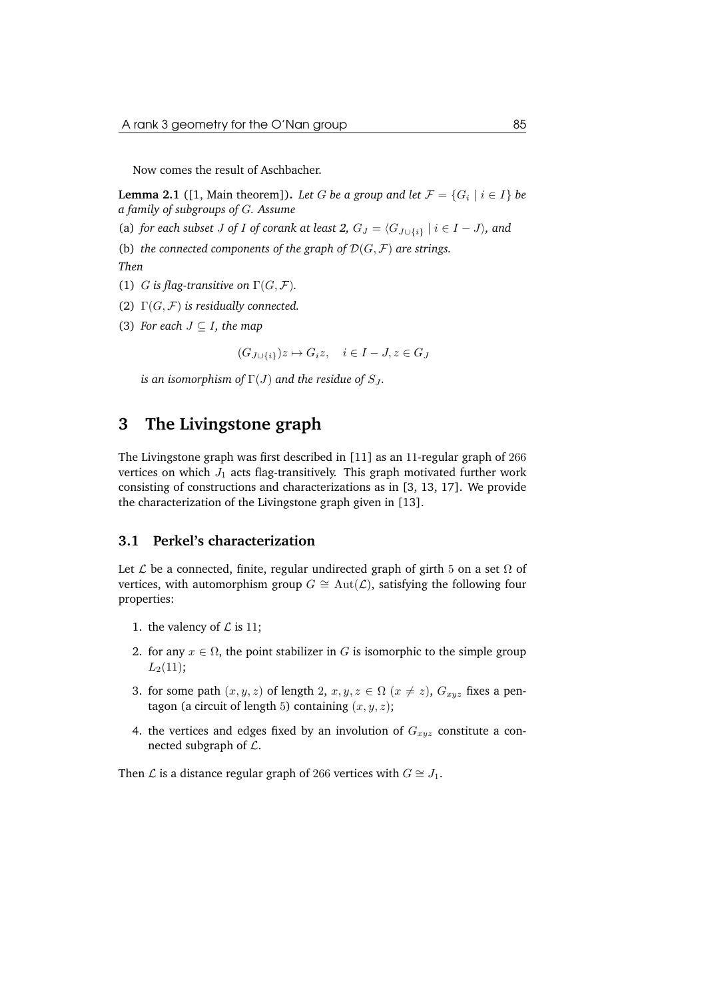Now comes the result of Aschbacher.

**Lemma 2.1** ([1, Main theorem]). *Let*  $G$  *be a group and let*  $\mathcal{F} = \{G_i \mid i \in I\}$  *be a family of subgroups of* G*. Assume*

(a) *for each subset J of I of corank at least* 2,  $G_J = \langle G_{J \cup \{i\}} | i \in I - J \rangle$ *, and* 

(b) *the connected components of the graph of*  $\mathcal{D}(G, \mathcal{F})$  *are strings. Then*

- (1) G is flag-transitive on  $\Gamma(G, \mathcal{F})$ .
- (2)  $\Gamma(G, \mathcal{F})$  *is residually connected.*
- (3) *For each*  $J \subseteq I$ *, the map*

 $(G_{J\cup\{i\}})z \mapsto G_iz, \quad i \in I - J, z \in G_J$ 

*is an isomorphism of*  $\Gamma(J)$  *and the residue of*  $S_J$ .

### **3 The Livingstone graph**

The Livingstone graph was first described in [11] as an 11-regular graph of 266 vertices on which  $J_1$  acts flag-transitively. This graph motivated further work consisting of constructions and characterizations as in [3, 13, 17]. We provide the characterization of the Livingstone graph given in [13].

#### **3.1 Perkel's characterization**

Let  $\mathcal L$  be a connected, finite, regular undirected graph of girth 5 on a set  $\Omega$  of vertices, with automorphism group  $G \cong \text{Aut}(\mathcal{L})$ , satisfying the following four properties:

- 1. the valency of  $\mathcal L$  is 11;
- 2. for any  $x \in \Omega$ , the point stabilizer in G is isomorphic to the simple group  $L_2(11);$
- 3. for some path  $(x, y, z)$  of length 2,  $x, y, z \in \Omega$   $(x \neq z)$ ,  $G_{xyz}$  fixes a pentagon (a circuit of length 5) containing  $(x, y, z)$ ;
- 4. the vertices and edges fixed by an involution of  $G_{xyz}$  constitute a connected subgraph of  $\mathcal{L}$ .

Then *L* is a distance regular graph of 266 vertices with  $G \cong J_1$ .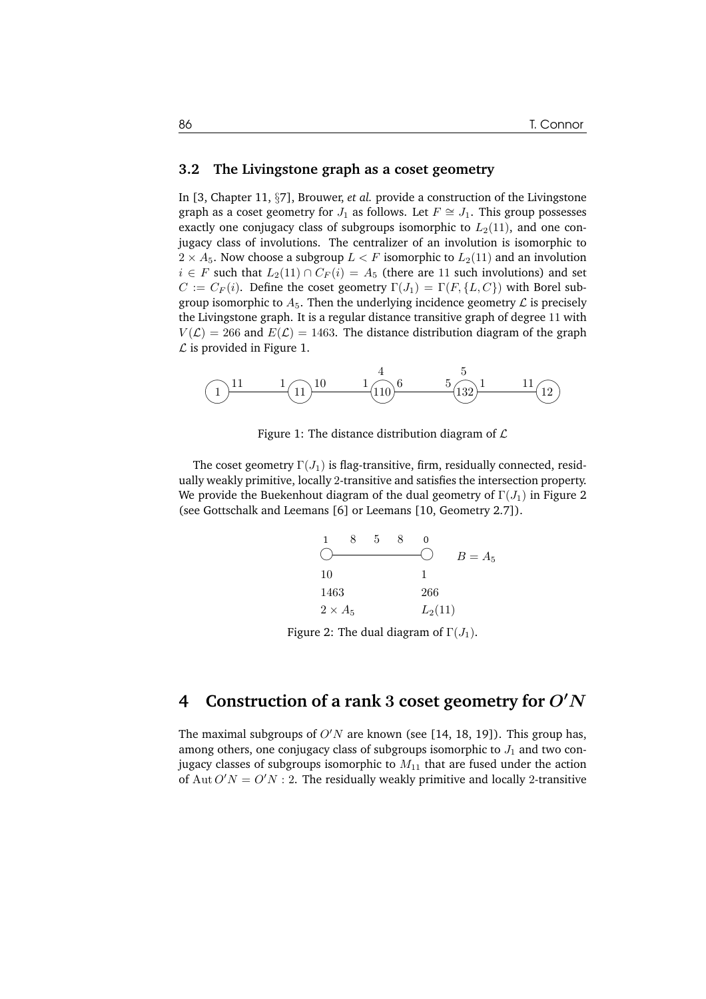#### **3.2 The Livingstone graph as a coset geometry**

In [3, Chapter 11, §7], Brouwer, *et al.* provide a construction of the Livingstone graph as a coset geometry for  $J_1$  as follows. Let  $F \cong J_1$ . This group possesses exactly one conjugacy class of subgroups isomorphic to  $L_2(11)$ , and one conjugacy class of involutions. The centralizer of an involution is isomorphic to  $2 \times A_5$ . Now choose a subgroup  $L \lt F$  isomorphic to  $L_2(11)$  and an involution  $i \in F$  such that  $L_2(11) \cap C_F(i) = A_5$  (there are 11 such involutions) and set  $C := C_F(i)$ . Define the coset geometry  $\Gamma(J_1) = \Gamma(F, \{L, C\})$  with Borel subgroup isomorphic to  $A_5$ . Then the underlying incidence geometry  $\mathcal L$  is precisely the Livingstone graph. It is a regular distance transitive graph of degree 11 with  $V(\mathcal{L}) = 266$  and  $E(\mathcal{L}) = 1463$ . The distance distribution diagram of the graph  $\mathcal L$  is provided in Figure 1.



Figure 1: The distance distribution diagram of  $\mathcal L$ 

The coset geometry  $\Gamma(J_1)$  is flag-transitive, firm, residually connected, residually weakly primitive, locally 2-transitive and satisfies the intersection property. We provide the Buekenhout diagram of the dual geometry of  $\Gamma(J_1)$  in Figure 2 (see Gottschalk and Leemans [6] or Leemans [10, Geometry 2.7]).

1 8 5 8 0  
\n  
\n0 
$$
B = A_5
$$
  
\n  
\n10 1  
\n1463 266  
\n2 × A<sub>5</sub> L<sub>2</sub>(11)

Figure 2: The dual diagram of  $\Gamma(J_1)$ .

# **4 Construction of a rank** 3 **coset geometry for** O′N

The maximal subgroups of  $O'N$  are known (see [14, 18, 19]). This group has, among others, one conjugacy class of subgroups isomorphic to  $J_1$  and two conjugacy classes of subgroups isomorphic to  $M_{11}$  that are fused under the action of Aut  $O'N = O'N$ : 2. The residually weakly primitive and locally 2-transitive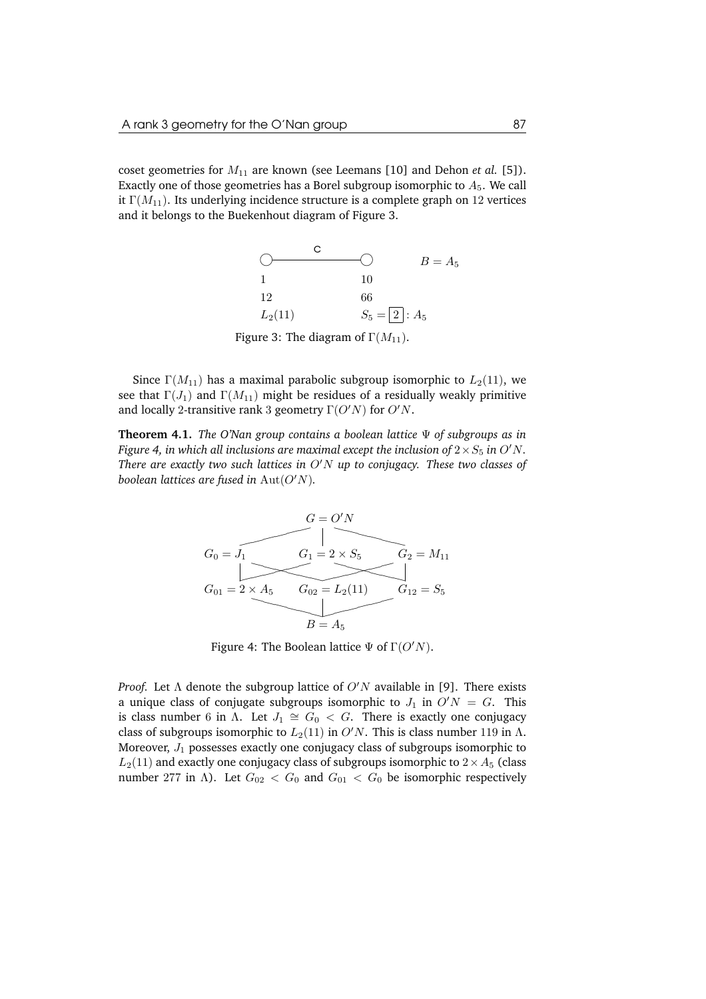coset geometries for  $M_{11}$  are known (see Leemans [10] and Dehon *et al.* [5]). Exactly one of those geometries has a Borel subgroup isomorphic to  $A_5$ . We call it  $\Gamma(M_{11})$ . Its underlying incidence structure is a complete graph on 12 vertices and it belongs to the Buekenhout diagram of Figure 3.

> $\bigcirc$   $\longrightarrow$ c 1 10 12 66  $L_2(11)$   $S_5 = |2|: A_5$  $B=A_5$ Figure 3: The diagram of  $\Gamma(M_{11})$ .

Since  $\Gamma(M_{11})$  has a maximal parabolic subgroup isomorphic to  $L_2(11)$ , we see that  $\Gamma(J_1)$  and  $\Gamma(M_{11})$  might be residues of a residually weakly primitive and locally 2-transitive rank 3 geometry  $\Gamma(O'N)$  for  $O'N$ .

**Theorem 4.1.** *The O'Nan group contains a boolean lattice* Ψ *of subgroups as in Figure 4, in which all inclusions are maximal except the inclusion of*  $2 \times S_5$  *in O'N. There are exactly two such lattices in* O′N *up to conjugacy. These two classes of boolean lattices are fused in* Aut(O′N)*.*



Figure 4: The Boolean lattice  $\Psi$  of  $\Gamma(O'N)$ .

*Proof.* Let  $\Lambda$  denote the subgroup lattice of  $O'N$  available in [9]. There exists a unique class of conjugate subgroups isomorphic to  $J_1$  in  $O'N = G$ . This is class number 6 in  $\Lambda$ . Let  $J_1 \cong G_0 < G$ . There is exactly one conjugacy class of subgroups isomorphic to  $L_2(11)$  in  $O'N$ . This is class number 119 in  $\Lambda$ . Moreover,  $J_1$  possesses exactly one conjugacy class of subgroups isomorphic to  $L_2(11)$  and exactly one conjugacy class of subgroups isomorphic to  $2 \times A_5$  (class number 277 in Λ). Let  $G_{02} < G_0$  and  $G_{01} < G_0$  be isomorphic respectively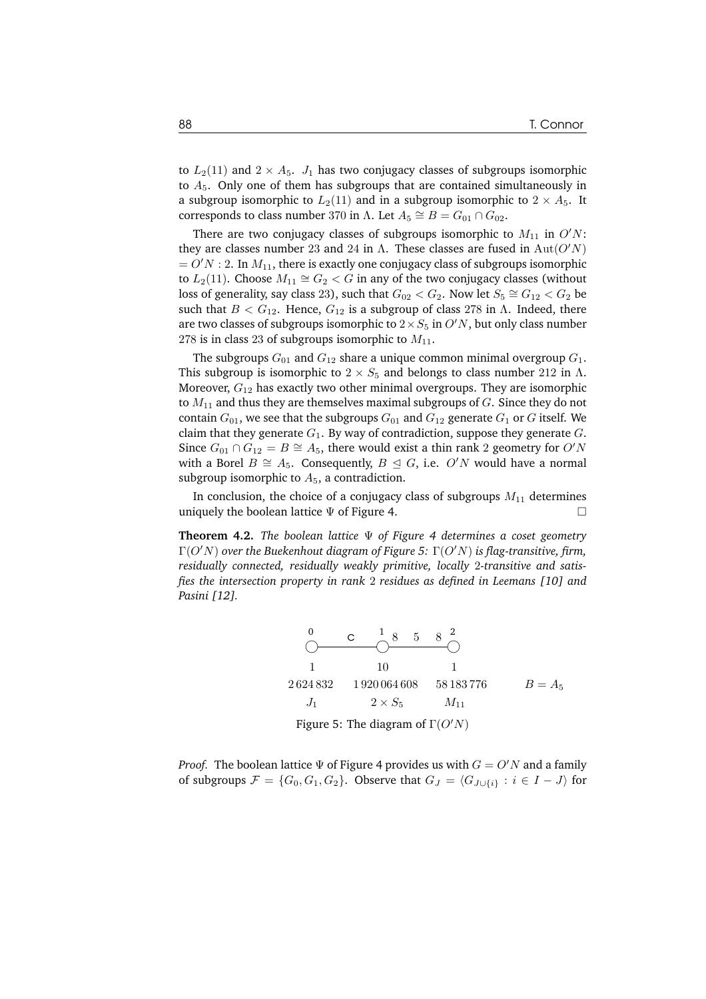to  $L_2(11)$  and  $2 \times A_5$ .  $J_1$  has two conjugacy classes of subgroups isomorphic to  $A_5$ . Only one of them has subgroups that are contained simultaneously in a subgroup isomorphic to  $L_2(11)$  and in a subgroup isomorphic to  $2 \times A_5$ . It corresponds to class number 370 in  $\Lambda$ . Let  $A_5 \cong B = G_{01} \cap G_{02}$ .

There are two conjugacy classes of subgroups isomorphic to  $M_{11}$  in  $O'N$ : they are classes number 23 and 24 in  $\Lambda$ . These classes are fused in Aut $(O'N)$  $= O/N$  : 2. In  $M_{11}$ , there is exactly one conjugacy class of subgroups isomorphic to  $L_2(11)$ . Choose  $M_{11} \cong G_2 < G$  in any of the two conjugacy classes (without loss of generality, say class 23), such that  $G_{02} < G_2$ . Now let  $S_5 \cong G_{12} < G_2$  be such that  $B < G_{12}$ . Hence,  $G_{12}$  is a subgroup of class 278 in Λ. Indeed, there are two classes of subgroups isomorphic to  $2 \times S_5$  in  $O'N$ , but only class number 278 is in class 23 of subgroups isomorphic to  $M_{11}$ .

The subgroups  $G_{01}$  and  $G_{12}$  share a unique common minimal overgroup  $G_1$ . This subgroup is isomorphic to  $2 \times S_5$  and belongs to class number 212 in Λ. Moreover,  $G_{12}$  has exactly two other minimal overgroups. They are isomorphic to  $M_{11}$  and thus they are themselves maximal subgroups of  $G$ . Since they do not contain  $G_{01}$ , we see that the subgroups  $G_{01}$  and  $G_{12}$  generate  $G_1$  or G itself. We claim that they generate  $G_1$ . By way of contradiction, suppose they generate  $G$ . Since  $G_{01} \cap G_{12} = B \cong A_5$ , there would exist a thin rank 2 geometry for O'N with a Borel  $B \cong A_5$ . Consequently,  $B \subseteq G$ , i.e. O'N would have a normal subgroup isomorphic to  $A_5$ , a contradiction.

In conclusion, the choice of a conjugacy class of subgroups  $M_{11}$  determines uniquely the boolean lattice  $\Psi$  of Figure 4.

**Theorem 4.2.** *The boolean lattice* Ψ *of Figure 4 determines a coset geometry* Γ(O′N) *over the Buekenhout diagram of Figure 5:* Γ(O′N) *is flag-transitive, firm, residually connected, residually weakly primitive, locally* 2*-transitive and satisfies the intersection property in rank* 2 *residues as defined in Leemans [10] and Pasini [12].*

0 C 1 8 5 8<sup>2</sup>  
\n1 10 1  
\n2624832 1920064608 58183776 
$$
B = A_5
$$
  
\n $J_1$  2 × S<sub>5</sub>  $M_{11}$   
\nFigure 5: The diagram of  $\Gamma(O'N)$ 

*Proof.* The boolean lattice  $\Psi$  of Figure 4 provides us with  $G = O'N$  and a family of subgroups  $\mathcal{F} = \{G_0, G_1, G_2\}$ . Observe that  $G_J = \langle G_{J\cup\{i\}} : i \in I - J \rangle$  for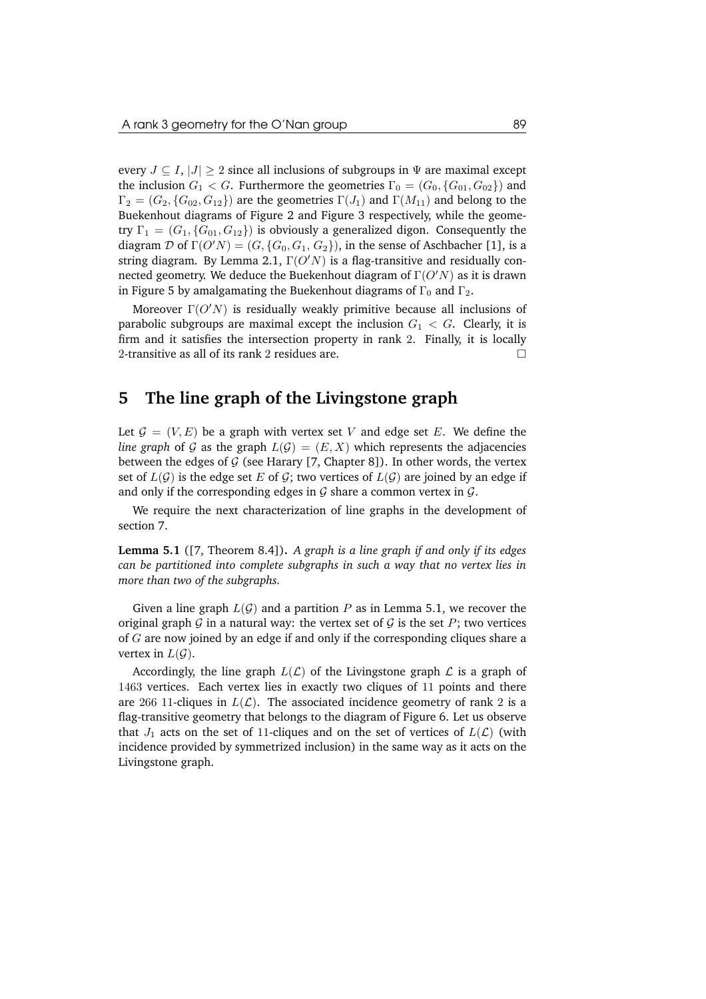every  $J \subseteq I$ ,  $|J| \geq 2$  since all inclusions of subgroups in  $\Psi$  are maximal except the inclusion  $G_1 < G$ . Furthermore the geometries  $\Gamma_0 = (G_0, \{G_{01}, G_{02}\})$  and  $\Gamma_2 = (G_2, \{G_{02}, G_{12}\})$  are the geometries  $\Gamma(J_1)$  and  $\Gamma(M_{11})$  and belong to the Buekenhout diagrams of Figure 2 and Figure 3 respectively, while the geometry  $\Gamma_1 = (G_1, \{G_{01}, G_{12}\})$  is obviously a generalized digon. Consequently the diagram  $\mathcal D$  of  $\Gamma(O'N) = (G, \{G_0, G_1, G_2\})$ , in the sense of Aschbacher [1], is a string diagram. By Lemma 2.1,  $\Gamma(O'N)$  is a flag-transitive and residually connected geometry. We deduce the Buekenhout diagram of  $\Gamma(O'N)$  as it is drawn in Figure 5 by amalgamating the Buekenhout diagrams of  $\Gamma_0$  and  $\Gamma_2$ .

Moreover  $\Gamma(O'N)$  is residually weakly primitive because all inclusions of parabolic subgroups are maximal except the inclusion  $G_1 < G$ . Clearly, it is firm and it satisfies the intersection property in rank 2. Finally, it is locally 2-transitive as all of its rank 2 residues are.  $\Box$ 

#### **5 The line graph of the Livingstone graph**

Let  $\mathcal{G} = (V, E)$  be a graph with vertex set V and edge set E. We define the *line graph* of G as the graph  $L(G) = (E, X)$  which represents the adjacencies between the edges of G (see Harary [7, Chapter 8]). In other words, the vertex set of  $L(G)$  is the edge set E of G; two vertices of  $L(G)$  are joined by an edge if and only if the corresponding edges in  $\mathcal G$  share a common vertex in  $\mathcal G$ .

We require the next characterization of line graphs in the development of section 7.

**Lemma 5.1** ([7, Theorem 8.4])**.** *A graph is a line graph if and only if its edges can be partitioned into complete subgraphs in such a way that no vertex lies in more than two of the subgraphs.*

Given a line graph  $L(G)$  and a partition P as in Lemma 5.1, we recover the original graph G in a natural way: the vertex set of G is the set P; two vertices of G are now joined by an edge if and only if the corresponding cliques share a vertex in  $L(G)$ .

Accordingly, the line graph  $L(\mathcal{L})$  of the Livingstone graph  $\mathcal L$  is a graph of 1463 vertices. Each vertex lies in exactly two cliques of 11 points and there are 266 11-cliques in  $L(\mathcal{L})$ . The associated incidence geometry of rank 2 is a flag-transitive geometry that belongs to the diagram of Figure 6. Let us observe that  $J_1$  acts on the set of 11-cliques and on the set of vertices of  $L(\mathcal{L})$  (with incidence provided by symmetrized inclusion) in the same way as it acts on the Livingstone graph.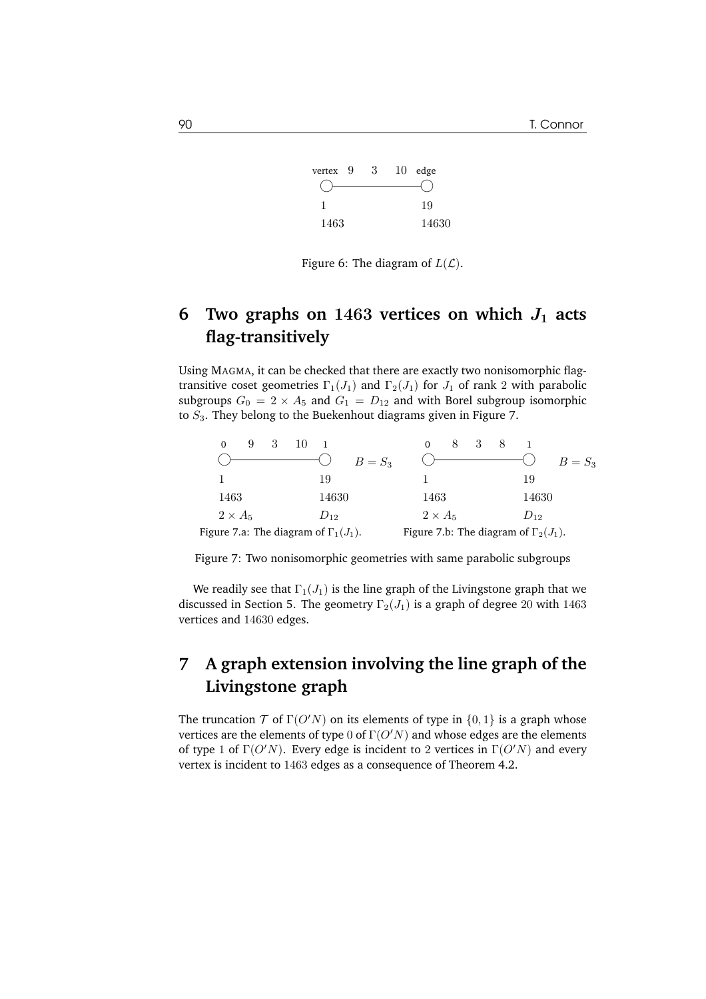

Figure 6: The diagram of  $L(\mathcal{L})$ .

# **6** Two graphs on  $1463$  vertices on which  $J_1$  acts **flag-transitively**

Using MAGMA, it can be checked that there are exactly two nonisomorphic flagtransitive coset geometries  $\Gamma_1(J_1)$  and  $\Gamma_2(J_1)$  for  $J_1$  of rank 2 with parabolic subgroups  $G_0 = 2 \times A_5$  and  $G_1 = D_{12}$  and with Borel subgroup isomorphic to  $S_3$ . They belong to the Buekenhout diagrams given in Figure 7.

| 9                                            |          |                                              |          |
|----------------------------------------------|----------|----------------------------------------------|----------|
|                                              | $B=S_3$  |                                              | $B=S_3$  |
|                                              | 19       |                                              | 19       |
| 1463                                         | 14630    | 1463                                         | 14630    |
| $2 \times A_5$                               | $D_{12}$ | $2 \times A_5$                               | $D_{12}$ |
| Figure 7.a: The diagram of $\Gamma_1(J_1)$ . |          | Figure 7.b: The diagram of $\Gamma_2(J_1)$ . |          |

Figure 7: Two nonisomorphic geometries with same parabolic subgroups

We readily see that  $\Gamma_1(J_1)$  is the line graph of the Livingstone graph that we discussed in Section 5. The geometry  $\Gamma_2(J_1)$  is a graph of degree 20 with 1463 vertices and 14630 edges.

# **7 A graph extension involving the line graph of the Livingstone graph**

The truncation  $T$  of  $\Gamma(O'N)$  on its elements of type in  $\{0, 1\}$  is a graph whose vertices are the elements of type 0 of  $\Gamma$ ( $O'N$ ) and whose edges are the elements of type 1 of  $\Gamma(O'N)$ . Every edge is incident to 2 vertices in  $\Gamma(O'N)$  and every vertex is incident to 1463 edges as a consequence of Theorem 4.2.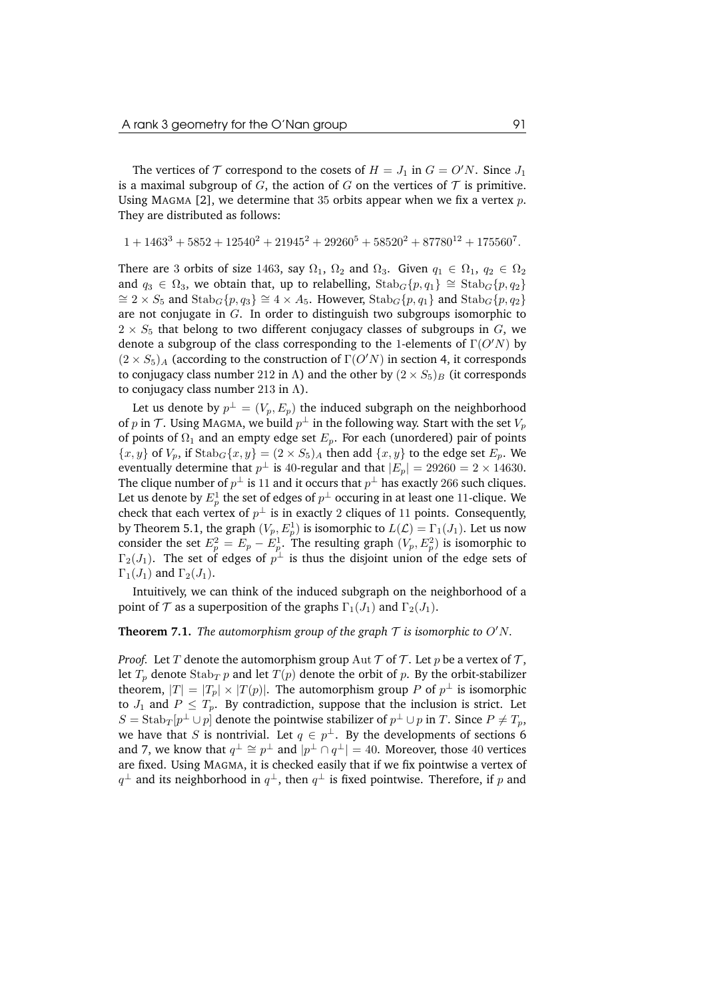The vertices of  $T$  correspond to the cosets of  $H = J_1$  in  $G = O'N$ . Since  $J_1$ is a maximal subgroup of G, the action of G on the vertices of  $\mathcal T$  is primitive. Using MAGMA [2], we determine that 35 orbits appear when we fix a vertex  $p$ . They are distributed as follows:

$$
1+1463^3+5852+12540^2+21945^2+29260^5+58520^2+87780^{12}+175560^7.\\
$$

There are 3 orbits of size 1463, say  $\Omega_1$ ,  $\Omega_2$  and  $\Omega_3$ . Given  $q_1 \in \Omega_1$ ,  $q_2 \in \Omega_2$ and  $q_3 \in \Omega_3$ , we obtain that, up to relabelling,  $\text{Stab}_G\{p,q_1\} \cong \text{Stab}_G\{p,q_2\}$  $\cong$  2 × S<sub>5</sub> and Stab<sub>G</sub>{p, q<sub>3</sub>}  $\cong$  4 × A<sub>5</sub>. However, Stab<sub>G</sub>{p, q<sub>1</sub>} and Stab<sub>G</sub>{p, q<sub>2</sub>} are not conjugate in G. In order to distinguish two subgroups isomorphic to  $2 \times S_5$  that belong to two different conjugacy classes of subgroups in G, we denote a subgroup of the class corresponding to the 1-elements of  $\Gamma(O'N)$  by  $(2 \times S_5)$ <sub>A</sub> (according to the construction of  $\Gamma(O'N)$  in section 4, it corresponds to conjugacy class number 212 in Λ) and the other by  $(2 \times S_5)_B$  (it corresponds to conjugacy class number 213 in  $\Lambda$ ).

Let us denote by  $p^\perp = (V_p, E_p)$  the induced subgraph on the neighborhood of  $p$  in  ${\cal T}.$  Using МАGMA, we build  $p^\perp$  in the following way. Start with the set  $V_p$ of points of  $\Omega_1$  and an empty edge set  $E_p$ . For each (unordered) pair of points  ${x, y}$  of  $V_p$ , if  $\text{Stab}_G\{x, y\} = (2 \times S_5)_A$  then add  $\{x, y\}$  to the edge set  $E_p$ . We eventually determine that  $p^\perp$  is 40-regular and that  $|E_p| = 29260 = 2 \times 14630$ . The clique number of  $p^\perp$  is 11 and it occurs that  $p^\perp$  has exactly 266 such cliques. Let us denote by  $E^1_p$  the set of edges of  $p^\perp$  occuring in at least one 11-clique. We check that each vertex of  $p^{\perp}$  is in exactly 2 cliques of 11 points. Consequently, by Theorem 5.1, the graph  $(V_p, E_p^1)$  is isomorphic to  $L(\mathcal{L}) = \Gamma_1(J_1)$ . Let us now consider the set  $E_p^2 = E_p - E_p^1$ . The resulting graph  $(V_p, E_p^2)$  is isomorphic to  $\Gamma_2(J_1)$ . The set of edges of  $p^\perp$  is thus the disjoint union of the edge sets of  $\Gamma_1(J_1)$  and  $\Gamma_2(J_1)$ .

Intuitively, we can think of the induced subgraph on the neighborhood of a point of  $\mathcal T$  as a superposition of the graphs  $\Gamma_1(J_1)$  and  $\Gamma_2(J_1)$ .

#### **Theorem 7.1.** *The automorphism group of the graph*  $\mathcal{T}$  *is isomorphic to*  $O'N$ *.*

*Proof.* Let T denote the automorphism group  $\text{Aut } \mathcal{T}$  of  $\mathcal{T}$ . Let p be a vertex of  $\mathcal{T}$ , let  $T_p$  denote  $\text{Stab}_T p$  and let  $T(p)$  denote the orbit of p. By the orbit-stabilizer theorem,  $|T| = |T_p| \times |T(p)|$ . The automorphism group P of  $p^{\perp}$  is isomorphic to  $J_1$  and  $P \leq T_p$ . By contradiction, suppose that the inclusion is strict. Let  $S = \text{Stab}_T[p^\perp \cup p]$  denote the pointwise stabilizer of  $p^\perp \cup p$  in T. Since  $P \neq T_p$ , we have that S is nontrivial. Let  $q \in p^{\perp}$ . By the developments of sections 6 and 7, we know that  $q^{\perp} \cong p^{\perp}$  and  $|p^{\perp} \cap q^{\perp}| = 40$ . Moreover, those 40 vertices are fixed. Using MAGMA, it is checked easily that if we fix pointwise a vertex of  $q^\perp$  and its neighborhood in  $q^\perp$ , then  $q^\perp$  is fixed pointwise. Therefore, if  $p$  and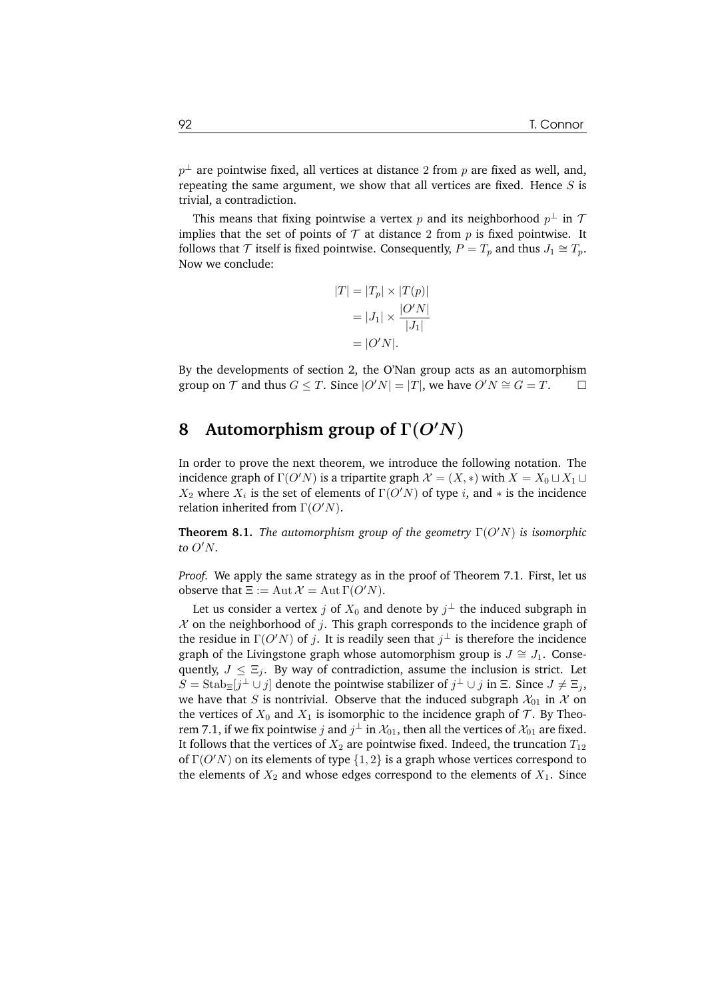$p^\perp$  are pointwise fixed, all vertices at distance 2 from  $p$  are fixed as well, and, repeating the same argument, we show that all vertices are fixed. Hence  $S$  is trivial, a contradiction.

This means that fixing pointwise a vertex  $p$  and its neighborhood  $p^\perp$  in  $\mathcal T$ implies that the set of points of  $T$  at distance 2 from  $p$  is fixed pointwise. It follows that  $\mathcal T$  itself is fixed pointwise. Consequently,  $P = T_p$  and thus  $J_1 \cong T_p$ . Now we conclude:

$$
|T| = |T_p| \times |T(p)|
$$

$$
= |J_1| \times \frac{|O'N|}{|J_1|}
$$

$$
= |O'N|.
$$

By the developments of section 2, the O'Nan group acts as an automorphism group on T and thus  $G \leq T$ . Since  $|O'N| = |T|$ , we have  $O'N \cong G = T$ .

### **8 Automorphism group of** Γ(O′N)

In order to prove the next theorem, we introduce the following notation. The incidence graph of  $\Gamma(O'N)$  is a tripartite graph  $\mathcal{X} = (X, *)$  with  $X = X_0 \sqcup X_1 \sqcup X_2$  $X_2$  where  $X_i$  is the set of elements of  $\Gamma(O'N)$  of type i, and  $*$  is the incidence relation inherited from  $\Gamma(O'N)$ .

**Theorem 8.1.** *The automorphism group of the geometry* Γ(O′N) *is isomorphic to* O′N*.*

*Proof.* We apply the same strategy as in the proof of Theorem 7.1. First, let us observe that  $\Xi := \text{Aut }\mathcal{X} = \text{Aut }\Gamma(O'N)$ .

Let us consider a vertex  $j$  of  $X_0$  and denote by  $j^\perp$  the induced subgraph in  $X$  on the neighborhood of j. This graph corresponds to the incidence graph of the residue in  $\Gamma(O'N)$  of j. It is readily seen that  $j^{\perp}$  is therefore the incidence graph of the Livingstone graph whose automorphism group is  $J \cong J_1$ . Consequently,  $J \leq \Xi_i$ . By way of contradiction, assume the inclusion is strict. Let  $S =$ Stab $\pm[j^{\perp} \cup j]$  denote the pointwise stabilizer of  $j^{\perp} \cup j$  in  $\Xi$ . Since  $J \neq \Xi_j$ , we have that S is nontrivial. Observe that the induced subgraph  $\mathcal{X}_{01}$  in  $\mathcal X$  on the vertices of  $X_0$  and  $X_1$  is isomorphic to the incidence graph of  $\mathcal T$ . By Theorem 7.1, if we fix pointwise  $j$  and  $j^\perp$  in  $\mathcal{X}_{01}$ , then all the vertices of  $\mathcal{X}_{01}$  are fixed. It follows that the vertices of  $X_2$  are pointwise fixed. Indeed, the truncation  $T_{12}$ of  $\Gamma(O'N)$  on its elements of type  $\{1,2\}$  is a graph whose vertices correspond to the elements of  $X_2$  and whose edges correspond to the elements of  $X_1$ . Since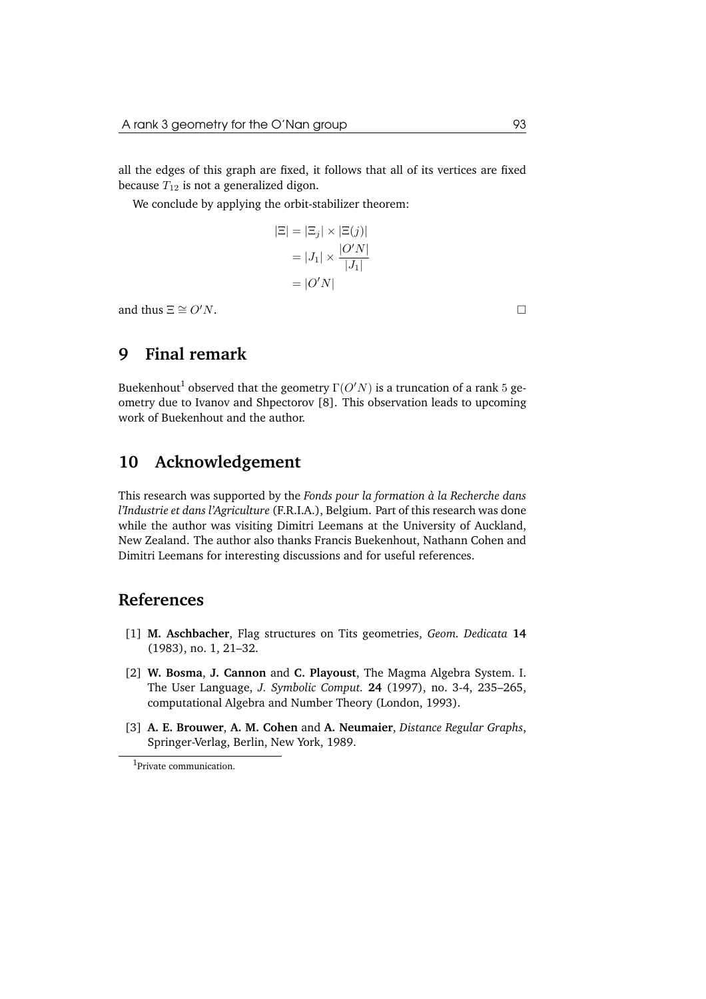all the edges of this graph are fixed, it follows that all of its vertices are fixed because  $T_{12}$  is not a generalized digon.

We conclude by applying the orbit-stabilizer theorem:

$$
|\Xi| = |\Xi_j| \times |\Xi(j)|
$$

$$
= |J_1| \times \frac{|O'N|}{|J_1|}
$$

$$
= |O'N|
$$

and thus  $\Xi \cong O'N$ .

# **9 Final remark**

Buekenhout $^1$  observed that the geometry  $\Gamma(O'N)$  is a truncation of a rank  $5$  geometry due to Ivanov and Shpectorov [8]. This observation leads to upcoming work of Buekenhout and the author.

# **10 Acknowledgement**

This research was supported by the *Fonds pour la formation a la Recherche dans ` l'Industrie et dans l'Agriculture* (F.R.I.A.), Belgium. Part of this research was done while the author was visiting Dimitri Leemans at the University of Auckland, New Zealand. The author also thanks Francis Buekenhout, Nathann Cohen and Dimitri Leemans for interesting discussions and for useful references.

### **References**

- [1] **M. Aschbacher**, Flag structures on Tits geometries, *Geom. Dedicata* **14** (1983), no. 1, 21–32.
- [2] **W. Bosma**, **J. Cannon** and **C. Playoust**, The Magma Algebra System. I. The User Language, *J. Symbolic Comput.* **24** (1997), no. 3-4, 235–265, computational Algebra and Number Theory (London, 1993).
- [3] **A. E. Brouwer**, **A. M. Cohen** and **A. Neumaier**, *Distance Regular Graphs*, Springer-Verlag, Berlin, New York, 1989.

<sup>&</sup>lt;sup>1</sup>Private communication.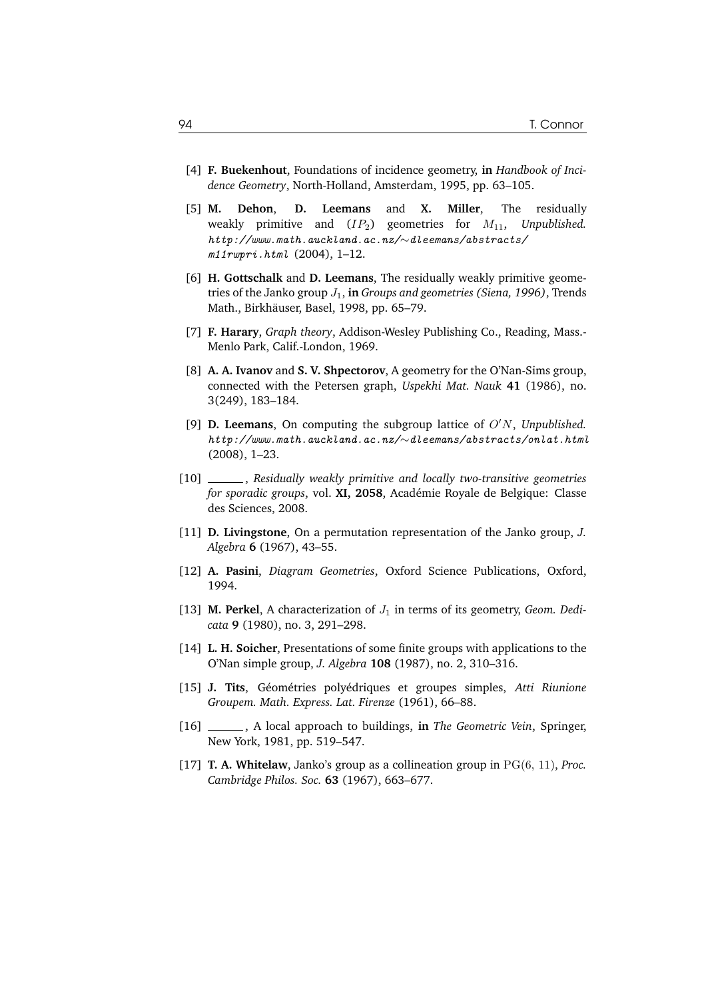- [4] **F. Buekenhout**, Foundations of incidence geometry, **in** *Handbook of Incidence Geometry*, North-Holland, Amsterdam, 1995, pp. 63–105.
- [5] **M. Dehon**, **D. Leemans** and **X. Miller**, The residually weakly primitive and  $(IP_2)$  geometries for  $M_{11}$ , Unpublished. *http://www.math.auckland.ac.nz/*∼*dleemans/abstracts/ m11rwpri.html* (2004), 1–12.
- [6] **H. Gottschalk** and **D. Leemans**, The residually weakly primitive geometries of the Janko group J1, **in** *Groups and geometries (Siena, 1996)*, Trends Math., Birkhäuser, Basel, 1998, pp. 65–79.
- [7] **F. Harary**, *Graph theory*, Addison-Wesley Publishing Co., Reading, Mass.- Menlo Park, Calif.-London, 1969.
- [8] **A. A. Ivanov** and **S. V. Shpectorov**, A geometry for the O'Nan-Sims group, connected with the Petersen graph, *Uspekhi Mat. Nauk* **41** (1986), no. 3(249), 183–184.
- [9] **D. Leemans**, On computing the subgroup lattice of O′N, *Unpublished. http://www.math.auckland.ac.nz/*∼*dleemans/abstracts/onlat.html* (2008), 1–23.
- [10] , *Residually weakly primitive and locally two-transitive geometries for sporadic groups*, vol. XI, 2058, Académie Royale de Belgique: Classe des Sciences, 2008.
- [11] **D. Livingstone**, On a permutation representation of the Janko group, *J. Algebra* **6** (1967), 43–55.
- [12] **A. Pasini**, *Diagram Geometries*, Oxford Science Publications, Oxford, 1994.
- [13] **M. Perkel**, A characterization of  $J_1$  in terms of its geometry, *Geom. Dedicata* **9** (1980), no. 3, 291–298.
- [14] **L. H. Soicher**, Presentations of some finite groups with applications to the O'Nan simple group, *J. Algebra* **108** (1987), no. 2, 310–316.
- [15] **J. Tits**, Géométries polyédriques et groupes simples, Atti Riunione *Groupem. Math. Express. Lat. Firenze* (1961), 66–88.
- [16] , A local approach to buildings, **in** *The Geometric Vein*, Springer, New York, 1981, pp. 519–547.
- [17] **T. A. Whitelaw**, Janko's group as a collineation group in PG(6, 11), *Proc. Cambridge Philos. Soc.* **63** (1967), 663–677.